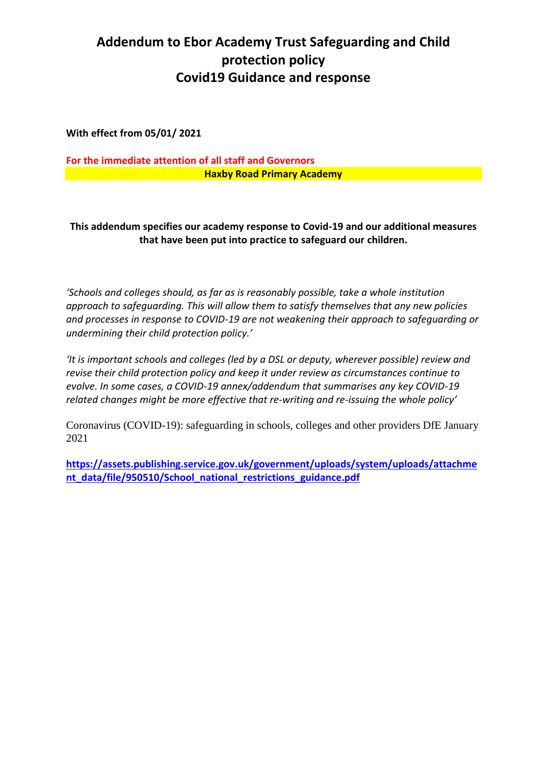## **Addendum to Ebor Academy Trust Safeguarding and Child protection policy Covid19 Guidance and response**

**With effect from 05/01/ 2021**

**For the immediate attention of all staff and Governors Haxby Road Primary Academy**

**This addendum specifies our academy response to Covid-19 and our additional measures that have been put into practice to safeguard our children.**

*'Schools and colleges should, as far as is reasonably possible, take a whole institution approach to safeguarding. This will allow them to satisfy themselves that any new policies and processes in response to COVID-19 are not weakening their approach to safeguarding or undermining their child protection policy.'*

*'It is important schools and colleges (led by a DSL or deputy, wherever possible) review and revise their child protection policy and keep it under review as circumstances continue to evolve. In some cases, a COVID-19 annex/addendum that summarises any key COVID-19 related changes might be more effective that re-writing and re-issuing the whole policy'*

Coronavirus (COVID-19): safeguarding in schools, colleges and other providers DfE January 2021

**[https://assets.publishing.service.gov.uk/government/uploads/system/uploads/attachme](https://assets.publishing.service.gov.uk/government/uploads/system/uploads/attachment_data/file/950510/School_national_restrictions_guidance.pdf) [nt\\_data/file/950510/School\\_national\\_restrictions\\_guidance.pdf](https://assets.publishing.service.gov.uk/government/uploads/system/uploads/attachment_data/file/950510/School_national_restrictions_guidance.pdf)**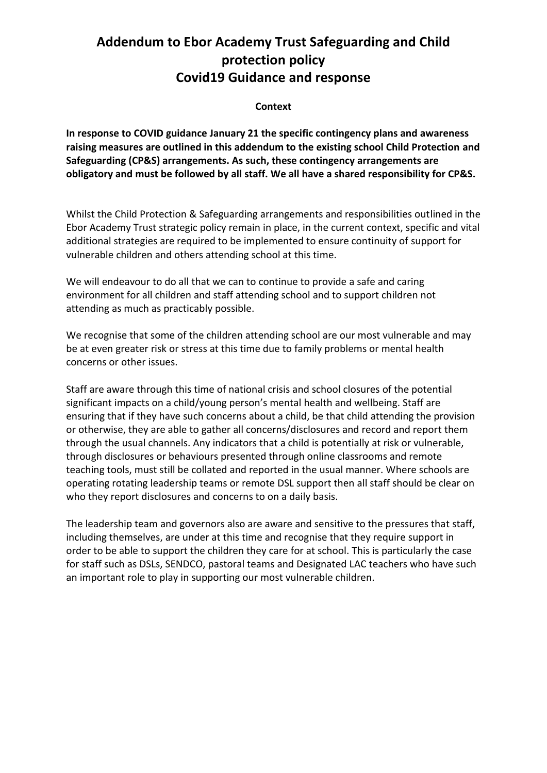### **Addendum to Ebor Academy Trust Safeguarding and Child protection policy Covid19 Guidance and response**

#### **Context**

**In response to COVID guidance January 21 the specific contingency plans and awareness raising measures are outlined in this addendum to the existing school Child Protection and Safeguarding (CP&S) arrangements. As such, these contingency arrangements are obligatory and must be followed by all staff. We all have a shared responsibility for CP&S.**

Whilst the Child Protection & Safeguarding arrangements and responsibilities outlined in the Ebor Academy Trust strategic policy remain in place, in the current context, specific and vital additional strategies are required to be implemented to ensure continuity of support for vulnerable children and others attending school at this time.

We will endeavour to do all that we can to continue to provide a safe and caring environment for all children and staff attending school and to support children not attending as much as practicably possible.

We recognise that some of the children attending school are our most vulnerable and may be at even greater risk or stress at this time due to family problems or mental health concerns or other issues.

Staff are aware through this time of national crisis and school closures of the potential significant impacts on a child/young person's mental health and wellbeing. Staff are ensuring that if they have such concerns about a child, be that child attending the provision or otherwise, they are able to gather all concerns/disclosures and record and report them through the usual channels. Any indicators that a child is potentially at risk or vulnerable, through disclosures or behaviours presented through online classrooms and remote teaching tools, must still be collated and reported in the usual manner. Where schools are operating rotating leadership teams or remote DSL support then all staff should be clear on who they report disclosures and concerns to on a daily basis.

The leadership team and governors also are aware and sensitive to the pressures that staff, including themselves, are under at this time and recognise that they require support in order to be able to support the children they care for at school. This is particularly the case for staff such as DSLs, SENDCO, pastoral teams and Designated LAC teachers who have such an important role to play in supporting our most vulnerable children.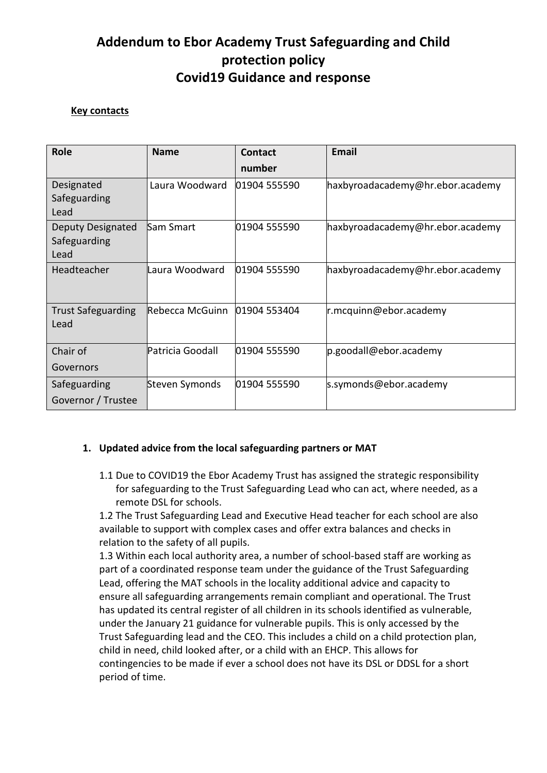## **Addendum to Ebor Academy Trust Safeguarding and Child protection policy Covid19 Guidance and response**

### **Key contacts**

| <b>Role</b>                        | <b>Name</b>       | Contact      | Email                            |
|------------------------------------|-------------------|--------------|----------------------------------|
|                                    |                   | number       |                                  |
| Designated<br>Safeguarding<br>Lead | Laura Woodward    | 01904 555590 | haxbyroadacademy@hr.ebor.academy |
| Deputy Designated                  | Sam Smart         | 01904 555590 | haxbyroadacademy@hr.ebor.academy |
| Safeguarding                       |                   |              |                                  |
| Lead                               |                   |              |                                  |
| Headteacher                        | lLaura Woodward   | 01904 555590 | haxbyroadacademy@hr.ebor.academy |
| <b>Trust Safeguarding</b>          | Rebecca McGuinn   | 01904 553404 | r.mcquinn@ebor.academy           |
| Lead                               |                   |              |                                  |
| Chair of                           | lPatricia Goodall | 01904 555590 | p.goodall@ebor.academy           |
| Governors                          |                   |              |                                  |
| Safeguarding                       | Steven Symonds    | 01904 555590 | s.symonds@ebor.academy           |
| Governor / Trustee                 |                   |              |                                  |

#### **1. Updated advice from the local safeguarding partners or MAT**

1.1 Due to COVID19 the Ebor Academy Trust has assigned the strategic responsibility for safeguarding to the Trust Safeguarding Lead who can act, where needed, as a remote DSL for schools.

1.2 The Trust Safeguarding Lead and Executive Head teacher for each school are also available to support with complex cases and offer extra balances and checks in relation to the safety of all pupils.

1.3 Within each local authority area, a number of school-based staff are working as part of a coordinated response team under the guidance of the Trust Safeguarding Lead, offering the MAT schools in the locality additional advice and capacity to ensure all safeguarding arrangements remain compliant and operational. The Trust has updated its central register of all children in its schools identified as vulnerable, under the January 21 guidance for vulnerable pupils. This is only accessed by the Trust Safeguarding lead and the CEO. This includes a child on a child protection plan, child in need, child looked after, or a child with an EHCP. This allows for contingencies to be made if ever a school does not have its DSL or DDSL for a short period of time.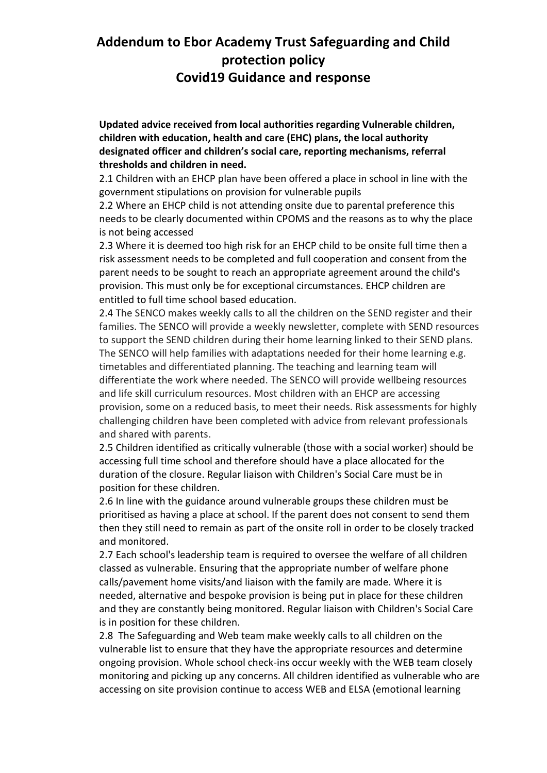### **Covid19 Guidance and response**

**Updated advice received from local authorities regarding Vulnerable children, children with education, health and care (EHC) plans, the local authority designated officer and children's social care, reporting mechanisms, referral thresholds and children in need.**

2.1 Children with an EHCP plan have been offered a place in school in line with the government stipulations on provision for vulnerable pupils

2.2 Where an EHCP child is not attending onsite due to parental preference this needs to be clearly documented within CPOMS and the reasons as to why the place is not being accessed

2.3 Where it is deemed too high risk for an EHCP child to be onsite full time then a risk assessment needs to be completed and full cooperation and consent from the parent needs to be sought to reach an appropriate agreement around the child's provision. This must only be for exceptional circumstances. EHCP children are entitled to full time school based education.

2.4 The SENCO makes weekly calls to all the children on the SEND register and their families. The SENCO will provide a weekly newsletter, complete with SEND resources to support the SEND children during their home learning linked to their SEND plans. The SENCO will help families with adaptations needed for their home learning e.g. timetables and differentiated planning. The teaching and learning team will differentiate the work where needed. The SENCO will provide wellbeing resources and life skill curriculum resources. Most children with an EHCP are accessing provision, some on a reduced basis, to meet their needs. Risk assessments for highly challenging children have been completed with advice from relevant professionals and shared with parents.

2.5 Children identified as critically vulnerable (those with a social worker) should be accessing full time school and therefore should have a place allocated for the duration of the closure. Regular liaison with Children's Social Care must be in position for these children.

2.6 In line with the guidance around vulnerable groups these children must be prioritised as having a place at school. If the parent does not consent to send them then they still need to remain as part of the onsite roll in order to be closely tracked and monitored.

2.7 Each school's leadership team is required to oversee the welfare of all children classed as vulnerable. Ensuring that the appropriate number of welfare phone calls/pavement home visits/and liaison with the family are made. Where it is needed, alternative and bespoke provision is being put in place for these children and they are constantly being monitored. Regular liaison with Children's Social Care is in position for these children.

2.8 The Safeguarding and Web team make weekly calls to all children on the vulnerable list to ensure that they have the appropriate resources and determine ongoing provision. Whole school check-ins occur weekly with the WEB team closely monitoring and picking up any concerns. All children identified as vulnerable who are accessing on site provision continue to access WEB and ELSA (emotional learning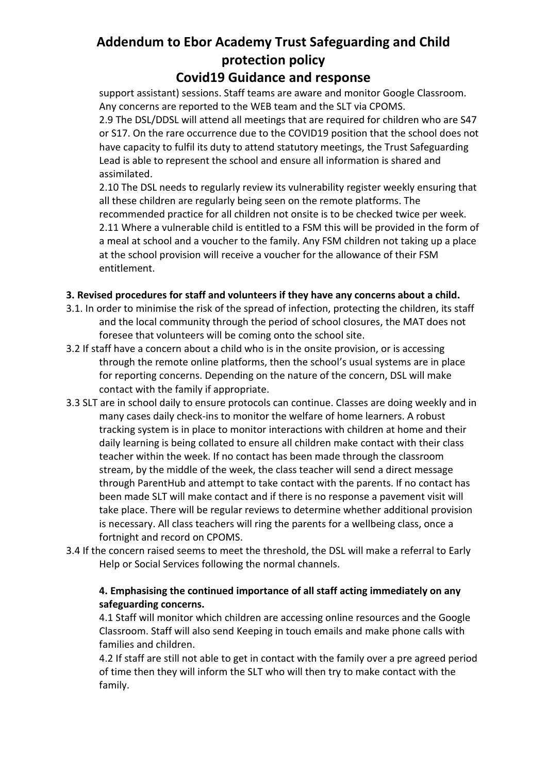### **Covid19 Guidance and response**

support assistant) sessions. Staff teams are aware and monitor Google Classroom. Any concerns are reported to the WEB team and the SLT via CPOMS. 2.9 The DSL/DDSL will attend all meetings that are required for children who are S47 or S17. On the rare occurrence due to the COVID19 position that the school does not have capacity to fulfil its duty to attend statutory meetings, the Trust Safeguarding Lead is able to represent the school and ensure all information is shared and assimilated.

2.10 The DSL needs to regularly review its vulnerability register weekly ensuring that all these children are regularly being seen on the remote platforms. The recommended practice for all children not onsite is to be checked twice per week. 2.11 Where a vulnerable child is entitled to a FSM this will be provided in the form of a meal at school and a voucher to the family. Any FSM children not taking up a place at the school provision will receive a voucher for the allowance of their FSM entitlement.

### **3. Revised procedures for staff and volunteers if they have any concerns about a child.**

- 3.1. In order to minimise the risk of the spread of infection, protecting the children, its staff and the local community through the period of school closures, the MAT does not foresee that volunteers will be coming onto the school site.
- 3.2 If staff have a concern about a child who is in the onsite provision, or is accessing through the remote online platforms, then the school's usual systems are in place for reporting concerns. Depending on the nature of the concern, DSL will make contact with the family if appropriate.
- 3.3 SLT are in school daily to ensure protocols can continue. Classes are doing weekly and in many cases daily check-ins to monitor the welfare of home learners. A robust tracking system is in place to monitor interactions with children at home and their daily learning is being collated to ensure all children make contact with their class teacher within the week. If no contact has been made through the classroom stream, by the middle of the week, the class teacher will send a direct message through ParentHub and attempt to take contact with the parents. If no contact has been made SLT will make contact and if there is no response a pavement visit will take place. There will be regular reviews to determine whether additional provision is necessary. All class teachers will ring the parents for a wellbeing class, once a fortnight and record on CPOMS.
- 3.4 If the concern raised seems to meet the threshold, the DSL will make a referral to Early Help or Social Services following the normal channels.

### **4. Emphasising the continued importance of all staff acting immediately on any safeguarding concerns.**

4.1 Staff will monitor which children are accessing online resources and the Google Classroom. Staff will also send Keeping in touch emails and make phone calls with families and children.

4.2 If staff are still not able to get in contact with the family over a pre agreed period of time then they will inform the SLT who will then try to make contact with the family.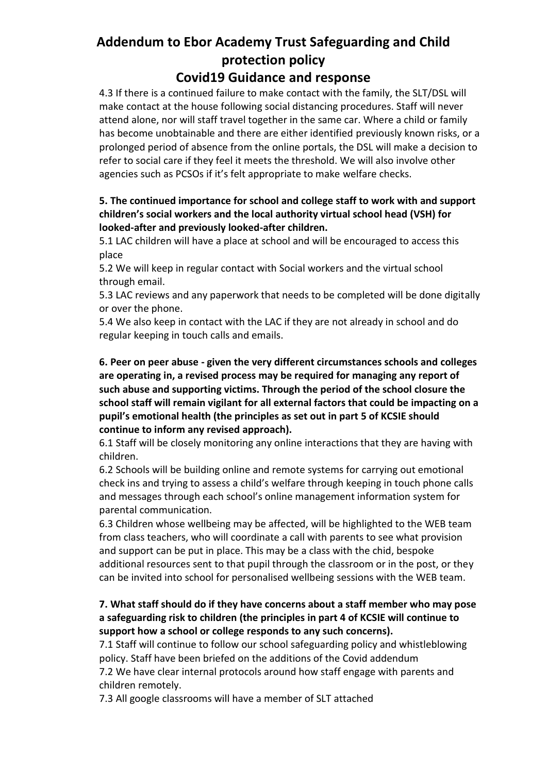### **Covid19 Guidance and response**

4.3 If there is a continued failure to make contact with the family, the SLT/DSL will make contact at the house following social distancing procedures. Staff will never attend alone, nor will staff travel together in the same car. Where a child or family has become unobtainable and there are either identified previously known risks, or a prolonged period of absence from the online portals, the DSL will make a decision to refer to social care if they feel it meets the threshold. We will also involve other agencies such as PCSOs if it's felt appropriate to make welfare checks.

### **5. The continued importance for school and college staff to work with and support children's social workers and the local authority virtual school head (VSH) for looked-after and previously looked-after children.**

5.1 LAC children will have a place at school and will be encouraged to access this place

5.2 We will keep in regular contact with Social workers and the virtual school through email.

5.3 LAC reviews and any paperwork that needs to be completed will be done digitally or over the phone.

5.4 We also keep in contact with the LAC if they are not already in school and do regular keeping in touch calls and emails.

**6. Peer on peer abuse - given the very different circumstances schools and colleges are operating in, a revised process may be required for managing any report of such abuse and supporting victims. Through the period of the school closure the school staff will remain vigilant for all external factors that could be impacting on a pupil's emotional health (the principles as set out in part 5 of KCSIE should continue to inform any revised approach).**

6.1 Staff will be closely monitoring any online interactions that they are having with children.

6.2 Schools will be building online and remote systems for carrying out emotional check ins and trying to assess a child's welfare through keeping in touch phone calls and messages through each school's online management information system for parental communication.

6.3 Children whose wellbeing may be affected, will be highlighted to the WEB team from class teachers, who will coordinate a call with parents to see what provision and support can be put in place. This may be a class with the chid, bespoke additional resources sent to that pupil through the classroom or in the post, or they can be invited into school for personalised wellbeing sessions with the WEB team.

### **7. What staff should do if they have concerns about a staff member who may pose a safeguarding risk to children (the principles in part 4 of KCSIE will continue to support how a school or college responds to any such concerns).**

7.1 Staff will continue to follow our school safeguarding policy and whistleblowing policy. Staff have been briefed on the additions of the Covid addendum

7.2 We have clear internal protocols around how staff engage with parents and children remotely.

7.3 All google classrooms will have a member of SLT attached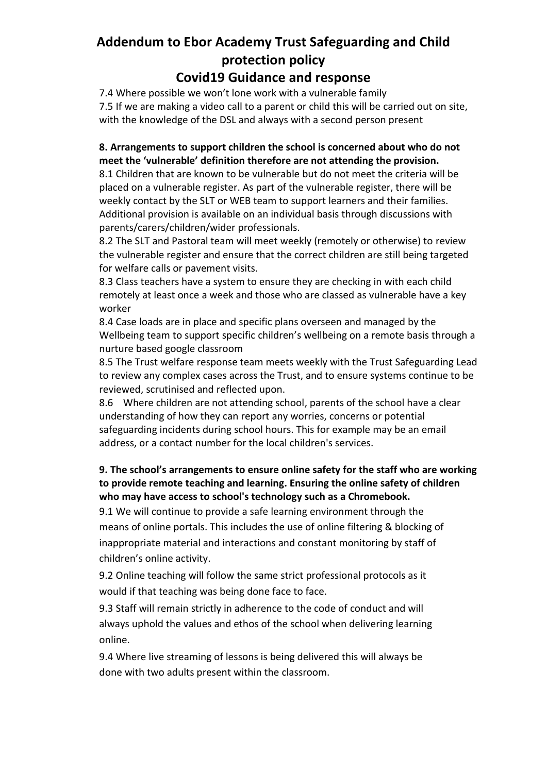### **Covid19 Guidance and response**

7.4 Where possible we won't lone work with a vulnerable family 7.5 If we are making a video call to a parent or child this will be carried out on site, with the knowledge of the DSL and always with a second person present

### **8. Arrangements to support children the school is concerned about who do not meet the 'vulnerable' definition therefore are not attending the provision.**

8.1 Children that are known to be vulnerable but do not meet the criteria will be placed on a vulnerable register. As part of the vulnerable register, there will be weekly contact by the SLT or WEB team to support learners and their families. Additional provision is available on an individual basis through discussions with parents/carers/children/wider professionals.

8.2 The SLT and Pastoral team will meet weekly (remotely or otherwise) to review the vulnerable register and ensure that the correct children are still being targeted for welfare calls or pavement visits.

8.3 Class teachers have a system to ensure they are checking in with each child remotely at least once a week and those who are classed as vulnerable have a key worker

8.4 Case loads are in place and specific plans overseen and managed by the Wellbeing team to support specific children's wellbeing on a remote basis through a nurture based google classroom

8.5 The Trust welfare response team meets weekly with the Trust Safeguarding Lead to review any complex cases across the Trust, and to ensure systems continue to be reviewed, scrutinised and reflected upon.

8.6 Where children are not attending school, parents of the school have a clear understanding of how they can report any worries, concerns or potential safeguarding incidents during school hours. This for example may be an email address, or a contact number for the local children's services.

### **9. The school's arrangements to ensure online safety for the staff who are working to provide remote teaching and learning. Ensuring the online safety of children who may have access to school's technology such as a Chromebook.**

9.1 We will continue to provide a safe learning environment through the means of online portals. This includes the use of online filtering & blocking of inappropriate material and interactions and constant monitoring by staff of children's online activity.

9.2 Online teaching will follow the same strict professional protocols as it would if that teaching was being done face to face.

9.3 Staff will remain strictly in adherence to the code of conduct and will always uphold the values and ethos of the school when delivering learning online.

9.4 Where live streaming of lessons is being delivered this will always be done with two adults present within the classroom.